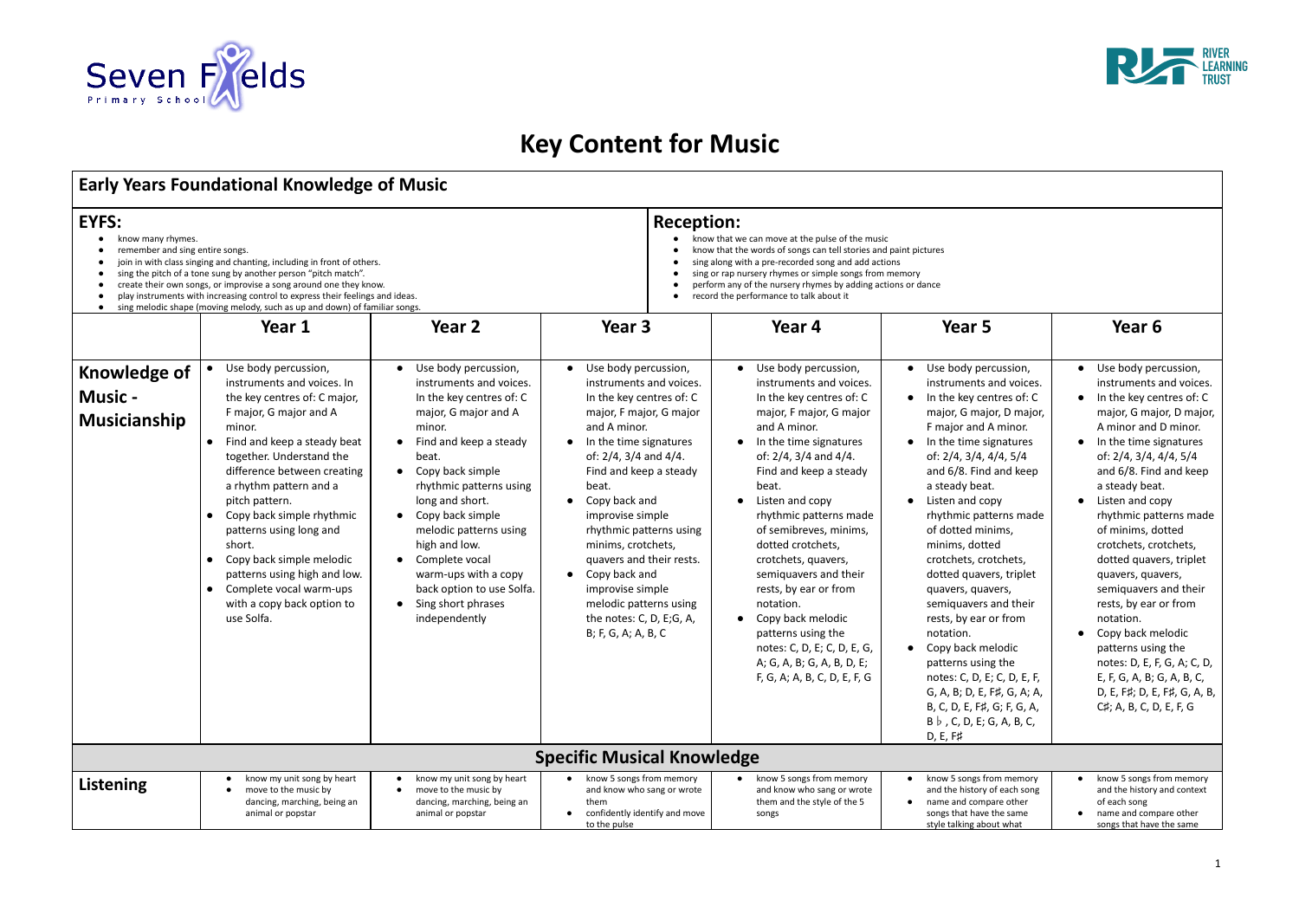

## **Key Content for Music**

## **Early Years Foundational Knowledge of Music**

| EYFS:<br>know many rhymes.<br>remember and sing entire songs.<br>join in with class singing and chanting, including in front of others.<br>sing the pitch of a tone sung by another person "pitch match".<br>create their own songs, or improvise a song around one they know.<br>play instruments with increasing control to express their feelings and ideas.<br>sing melodic shape (moving melody, such as up and down) of familiar songs. |                                                                                                                                                                                                                                                                                                                                                                                                                                                                                |                                                                                                                                                                                                                                                                                                                                                                                                                                        |                                                                                                                                                                                                                                                                                                                                                                                                                                                                                        | <b>Reception:</b><br>know that we can move at the pulse of the music<br>know that the words of songs can tell stories and paint pictures<br>sing along with a pre-recorded song and add actions<br>sing or rap nursery rhymes or simple songs from memory<br>perform any of the nursery rhymes by adding actions or dance<br>record the performance to talk about it                                                                                                                                                                                                     |                                                                                                                                                                                                                                                                                                                                                                                                                                                                                                                                                                                                                                                                                                             |                                                                                                                                                                                                                                                                                                                                                                                                                                                                                                                                                                                                              |  |  |  |  |
|-----------------------------------------------------------------------------------------------------------------------------------------------------------------------------------------------------------------------------------------------------------------------------------------------------------------------------------------------------------------------------------------------------------------------------------------------|--------------------------------------------------------------------------------------------------------------------------------------------------------------------------------------------------------------------------------------------------------------------------------------------------------------------------------------------------------------------------------------------------------------------------------------------------------------------------------|----------------------------------------------------------------------------------------------------------------------------------------------------------------------------------------------------------------------------------------------------------------------------------------------------------------------------------------------------------------------------------------------------------------------------------------|----------------------------------------------------------------------------------------------------------------------------------------------------------------------------------------------------------------------------------------------------------------------------------------------------------------------------------------------------------------------------------------------------------------------------------------------------------------------------------------|--------------------------------------------------------------------------------------------------------------------------------------------------------------------------------------------------------------------------------------------------------------------------------------------------------------------------------------------------------------------------------------------------------------------------------------------------------------------------------------------------------------------------------------------------------------------------|-------------------------------------------------------------------------------------------------------------------------------------------------------------------------------------------------------------------------------------------------------------------------------------------------------------------------------------------------------------------------------------------------------------------------------------------------------------------------------------------------------------------------------------------------------------------------------------------------------------------------------------------------------------------------------------------------------------|--------------------------------------------------------------------------------------------------------------------------------------------------------------------------------------------------------------------------------------------------------------------------------------------------------------------------------------------------------------------------------------------------------------------------------------------------------------------------------------------------------------------------------------------------------------------------------------------------------------|--|--|--|--|
|                                                                                                                                                                                                                                                                                                                                                                                                                                               | Year 1                                                                                                                                                                                                                                                                                                                                                                                                                                                                         | Year <sub>2</sub>                                                                                                                                                                                                                                                                                                                                                                                                                      | Year 3                                                                                                                                                                                                                                                                                                                                                                                                                                                                                 | Year 4                                                                                                                                                                                                                                                                                                                                                                                                                                                                                                                                                                   | Year 5                                                                                                                                                                                                                                                                                                                                                                                                                                                                                                                                                                                                                                                                                                      | Year 6                                                                                                                                                                                                                                                                                                                                                                                                                                                                                                                                                                                                       |  |  |  |  |
| <b>Knowledge of</b><br><b>Music -</b><br>Musicianship                                                                                                                                                                                                                                                                                                                                                                                         | Use body percussion,<br>instruments and voices. In<br>the key centres of: C major,<br>F major, G major and A<br>minor.<br>Find and keep a steady beat<br>together. Understand the<br>difference between creating<br>a rhythm pattern and a<br>pitch pattern.<br>Copy back simple rhythmic<br>patterns using long and<br>short.<br>Copy back simple melodic<br>patterns using high and low.<br>Complete vocal warm-ups<br>$\bullet$<br>with a copy back option to<br>use Solfa. | Use body percussion,<br>instruments and voices.<br>In the key centres of: C<br>major, G major and A<br>minor.<br>Find and keep a steady<br>beat.<br>Copy back simple<br>$\bullet$<br>rhythmic patterns using<br>long and short.<br>Copy back simple<br>$\bullet$<br>melodic patterns using<br>high and low.<br>Complete vocal<br>warm-ups with a copy<br>back option to use Solfa.<br>Sing short phrases<br>$\bullet$<br>independently | Use body percussion,<br>$\bullet$<br>instruments and voices.<br>In the key centres of: C<br>major, F major, G major<br>and A minor.<br>• In the time signatures<br>of: $2/4$ , $3/4$ and $4/4$ .<br>Find and keep a steady<br>beat.<br>Copy back and<br>$\bullet$<br>improvise simple<br>rhythmic patterns using<br>minims, crotchets,<br>quavers and their rests.<br>• Copy back and<br>improvise simple<br>melodic patterns using<br>the notes: C, D, E;G, A,<br>B; F, G, A; A, B, C | Use body percussion,<br>$\bullet$<br>instruments and voices.<br>In the key centres of: C<br>major, F major, G major<br>and A minor.<br>In the time signatures<br>of: $2/4$ , $3/4$ and $4/4$ .<br>Find and keep a steady<br>beat.<br>Listen and copy<br>rhythmic patterns made<br>of semibreves, minims,<br>dotted crotchets,<br>crotchets, quavers,<br>semiquavers and their<br>rests, by ear or from<br>notation.<br>Copy back melodic<br>$\bullet$<br>patterns using the<br>notes: C, D, E; C, D, E, G,<br>A; G, A, B; G, A, B, D, E;<br>F, G, A; A, B, C, D, E, F, G | Use body percussion,<br>$\bullet$<br>instruments and voices.<br>In the key centres of: C<br>$\bullet$<br>major, G major, D major,<br>F major and A minor.<br>In the time signatures<br>$\bullet$<br>of: 2/4, 3/4, 4/4, 5/4<br>and 6/8. Find and keep<br>a steady beat.<br>Listen and copy<br>$\bullet$<br>rhythmic patterns made<br>of dotted minims,<br>minims, dotted<br>crotchets, crotchets,<br>dotted quavers, triplet<br>quavers, quavers,<br>semiquavers and their<br>rests, by ear or from<br>notation.<br>Copy back melodic<br>$\bullet$<br>patterns using the<br>notes: C, D, E; C, D, E, F,<br>G, A, B; D, E, F#, G, A; A,<br>B, C, D, E, F#, G; F, G, A,<br>$B \, \flat$ , C, D, E; G, A, B, C, | Use body percussion,<br>instruments and voices.<br>In the key centres of: C<br>major, G major, D major,<br>A minor and D minor.<br>In the time signatures<br>of: 2/4, 3/4, 4/4, 5/4<br>and 6/8. Find and keep<br>a steady beat.<br>Listen and copy<br>rhythmic patterns made<br>of minims, dotted<br>crotchets, crotchets,<br>dotted quavers, triplet<br>quavers, quavers,<br>semiquavers and their<br>rests, by ear or from<br>notation.<br>Copy back melodic<br>patterns using the<br>notes: D, E, F, G, A; C, D,<br>E, F, G, A, B; G, A, B, C,<br>D, E, F#; D, E, F#, G, A, B,<br>C#; A, B, C, D, E, F, G |  |  |  |  |
| $D, E, F\sharp$<br><b>Specific Musical Knowledge</b>                                                                                                                                                                                                                                                                                                                                                                                          |                                                                                                                                                                                                                                                                                                                                                                                                                                                                                |                                                                                                                                                                                                                                                                                                                                                                                                                                        |                                                                                                                                                                                                                                                                                                                                                                                                                                                                                        |                                                                                                                                                                                                                                                                                                                                                                                                                                                                                                                                                                          |                                                                                                                                                                                                                                                                                                                                                                                                                                                                                                                                                                                                                                                                                                             |                                                                                                                                                                                                                                                                                                                                                                                                                                                                                                                                                                                                              |  |  |  |  |
| Listening                                                                                                                                                                                                                                                                                                                                                                                                                                     | know my unit song by heart<br>move to the music by<br>dancing, marching, being an<br>animal or popstar                                                                                                                                                                                                                                                                                                                                                                         | know my unit song by heart<br>move to the music by<br>dancing, marching, being an<br>animal or popstar                                                                                                                                                                                                                                                                                                                                 | • know 5 songs from memory<br>and know who sang or wrote<br>them<br>confidently identify and move<br>$\bullet$<br>to the pulse                                                                                                                                                                                                                                                                                                                                                         | know 5 songs from memory<br>and know who sang or wrote<br>them and the style of the 5<br>songs                                                                                                                                                                                                                                                                                                                                                                                                                                                                           | know 5 songs from memory<br>$\bullet$<br>and the history of each song<br>name and compare other<br>$\bullet$<br>songs that have the same<br>style talking about what                                                                                                                                                                                                                                                                                                                                                                                                                                                                                                                                        | know 5 songs from memory<br>and the history and context<br>of each song<br>name and compare other<br>songs that have the same                                                                                                                                                                                                                                                                                                                                                                                                                                                                                |  |  |  |  |